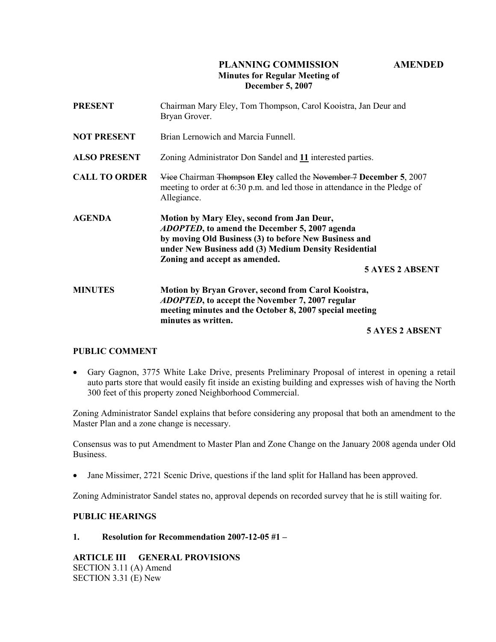# PLANNING COMMISSION AMENDED Minutes for Regular Meeting of December 5, 2007

| <b>PRESENT</b>       | Chairman Mary Eley, Tom Thompson, Carol Kooistra, Jan Deur and<br>Bryan Grover.                                                                                                                                                                                                  |
|----------------------|----------------------------------------------------------------------------------------------------------------------------------------------------------------------------------------------------------------------------------------------------------------------------------|
| <b>NOT PRESENT</b>   | Brian Lernowich and Marcia Funnell.                                                                                                                                                                                                                                              |
| <b>ALSO PRESENT</b>  | Zoning Administrator Don Sandel and 11 interested parties.                                                                                                                                                                                                                       |
| <b>CALL TO ORDER</b> | Vice Chairman Thompson Eley called the November 7 December 5, 2007<br>meeting to order at 6:30 p.m. and led those in attendance in the Pledge of<br>Allegiance.                                                                                                                  |
| <b>AGENDA</b>        | Motion by Mary Eley, second from Jan Deur,<br><i>ADOPTED</i> , to amend the December 5, 2007 agenda<br>by moving Old Business (3) to before New Business and<br>under New Business add (3) Medium Density Residential<br>Zoning and accept as amended.<br><b>5 AYES 2 ABSENT</b> |
| <b>MINUTES</b>       | Motion by Bryan Grover, second from Carol Kooistra,<br><i>ADOPTED</i> , to accept the November 7, 2007 regular<br>meeting minutes and the October 8, 2007 special meeting<br>minutes as written.                                                                                 |

# 5 AYES 2 ABSENT

#### PUBLIC COMMENT

• Gary Gagnon, 3775 White Lake Drive, presents Preliminary Proposal of interest in opening a retail auto parts store that would easily fit inside an existing building and expresses wish of having the North 300 feet of this property zoned Neighborhood Commercial.

Zoning Administrator Sandel explains that before considering any proposal that both an amendment to the Master Plan and a zone change is necessary.

Consensus was to put Amendment to Master Plan and Zone Change on the January 2008 agenda under Old Business.

• Jane Missimer, 2721 Scenic Drive, questions if the land split for Halland has been approved.

Zoning Administrator Sandel states no, approval depends on recorded survey that he is still waiting for.

# PUBLIC HEARINGS

# 1. Resolution for Recommendation 2007-12-05 #1 –

# ARTICLE III GENERAL PROVISIONS

SECTION 3.11 (A) Amend SECTION 3.31 (E) New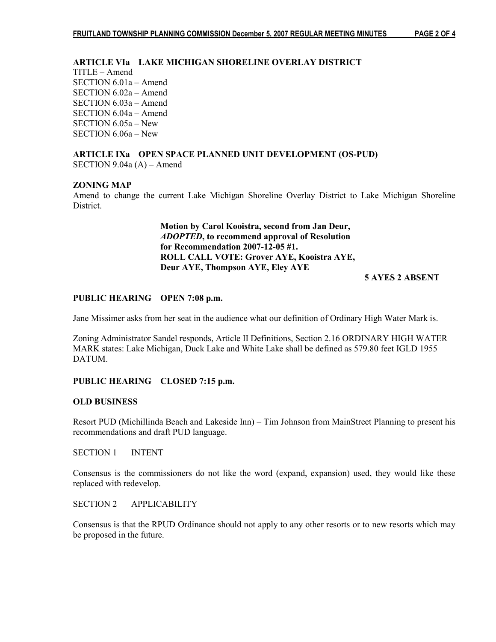# ARTICLE VIa LAKE MICHIGAN SHORELINE OVERLAY DISTRICT

TITLE – Amend SECTION 6.01a – Amend SECTION 6.02a – Amend SECTION 6.03a – Amend SECTION 6.04a – Amend SECTION 6.05a – New SECTION 6.06a – New

#### ARTICLE IXa OPEN SPACE PLANNED UNIT DEVELOPMENT (OS-PUD) SECTION 9.04a (A) – Amend

#### ZONING MAP

Amend to change the current Lake Michigan Shoreline Overlay District to Lake Michigan Shoreline District.

> Motion by Carol Kooistra, second from Jan Deur, ADOPTED, to recommend approval of Resolution for Recommendation 2007-12-05 #1. ROLL CALL VOTE: Grover AYE, Kooistra AYE, Deur AYE, Thompson AYE, Eley AYE

5 AYES 2 ABSENT

#### PUBLIC HEARING OPEN 7:08 p.m.

Jane Missimer asks from her seat in the audience what our definition of Ordinary High Water Mark is.

Zoning Administrator Sandel responds, Article II Definitions, Section 2.16 ORDINARY HIGH WATER MARK states: Lake Michigan, Duck Lake and White Lake shall be defined as 579.80 feet IGLD 1955 DATUM.

#### PUBLIC HEARING CLOSED 7:15 p.m.

### OLD BUSINESS

Resort PUD (Michillinda Beach and Lakeside Inn) – Tim Johnson from MainStreet Planning to present his recommendations and draft PUD language.

SECTION 1 INTENT

Consensus is the commissioners do not like the word (expand, expansion) used, they would like these replaced with redevelop.

## SECTION 2 APPLICABILITY

Consensus is that the RPUD Ordinance should not apply to any other resorts or to new resorts which may be proposed in the future.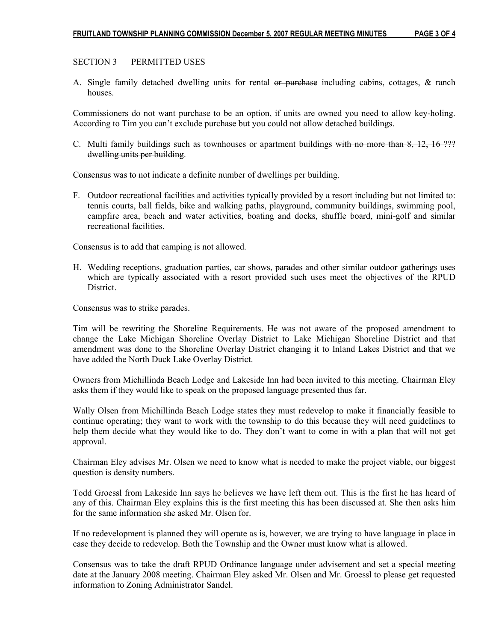# SECTION 3 PERMITTED USES

A. Single family detached dwelling units for rental or purchase including cabins, cottages, & ranch houses.

Commissioners do not want purchase to be an option, if units are owned you need to allow key-holing. According to Tim you can't exclude purchase but you could not allow detached buildings.

C. Multi family buildings such as townhouses or apartment buildings with no more than  $8$ ,  $12$ ,  $16$   $22$ ? dwelling units per building.

Consensus was to not indicate a definite number of dwellings per building.

F. Outdoor recreational facilities and activities typically provided by a resort including but not limited to: tennis courts, ball fields, bike and walking paths, playground, community buildings, swimming pool, campfire area, beach and water activities, boating and docks, shuffle board, mini-golf and similar recreational facilities.

Consensus is to add that camping is not allowed.

H. Wedding receptions, graduation parties, car shows, parades and other similar outdoor gatherings uses which are typically associated with a resort provided such uses meet the objectives of the RPUD **District** 

Consensus was to strike parades.

Tim will be rewriting the Shoreline Requirements. He was not aware of the proposed amendment to change the Lake Michigan Shoreline Overlay District to Lake Michigan Shoreline District and that amendment was done to the Shoreline Overlay District changing it to Inland Lakes District and that we have added the North Duck Lake Overlay District.

Owners from Michillinda Beach Lodge and Lakeside Inn had been invited to this meeting. Chairman Eley asks them if they would like to speak on the proposed language presented thus far.

Wally Olsen from Michillinda Beach Lodge states they must redevelop to make it financially feasible to continue operating; they want to work with the township to do this because they will need guidelines to help them decide what they would like to do. They don't want to come in with a plan that will not get approval.

Chairman Eley advises Mr. Olsen we need to know what is needed to make the project viable, our biggest question is density numbers.

Todd Groessl from Lakeside Inn says he believes we have left them out. This is the first he has heard of any of this. Chairman Eley explains this is the first meeting this has been discussed at. She then asks him for the same information she asked Mr. Olsen for.

If no redevelopment is planned they will operate as is, however, we are trying to have language in place in case they decide to redevelop. Both the Township and the Owner must know what is allowed.

Consensus was to take the draft RPUD Ordinance language under advisement and set a special meeting date at the January 2008 meeting. Chairman Eley asked Mr. Olsen and Mr. Groessl to please get requested information to Zoning Administrator Sandel.